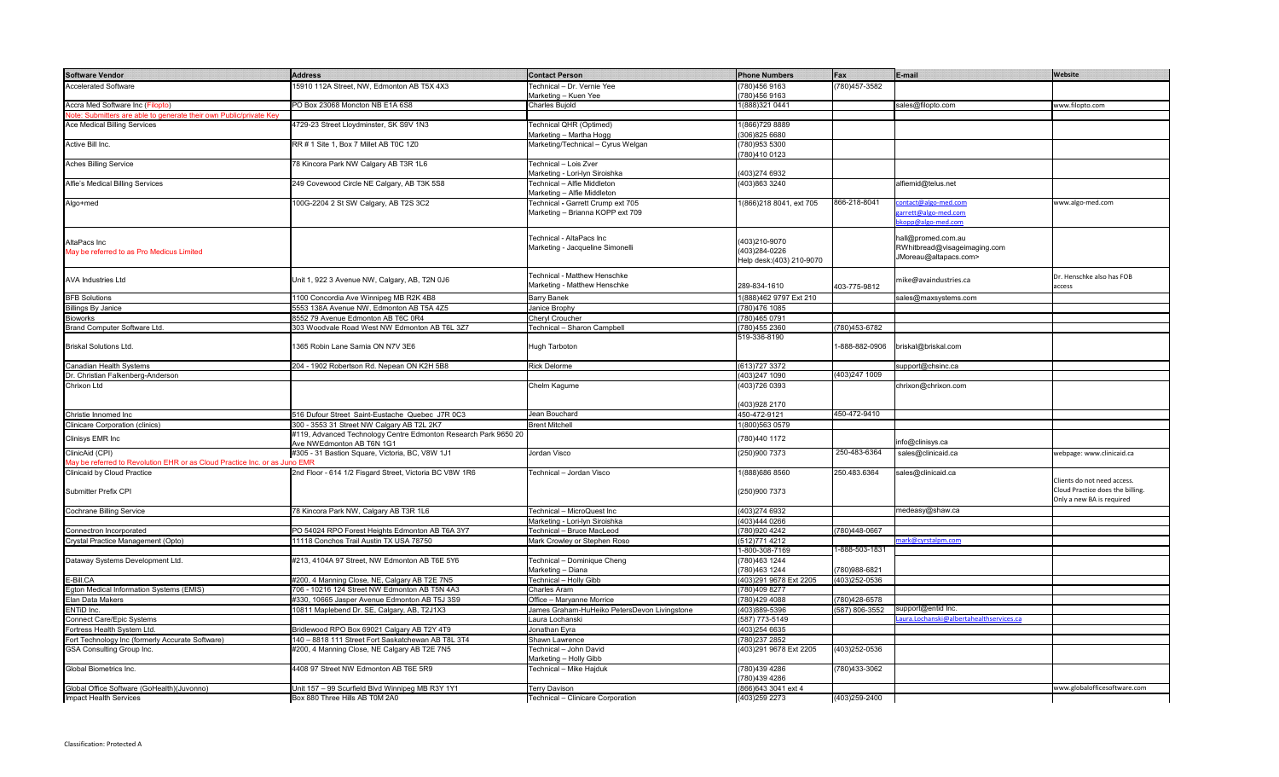| <b>Software Vendor</b>                                                               | <b>Address</b>                                                                                                | <b>Contact Person</b>                                        | <b>Phone Numbers</b>                     | <b>Fax</b>     | E-mail                                   | <b>Website</b>                                                |
|--------------------------------------------------------------------------------------|---------------------------------------------------------------------------------------------------------------|--------------------------------------------------------------|------------------------------------------|----------------|------------------------------------------|---------------------------------------------------------------|
| <b>Accelerated Software</b>                                                          | 15910 112A Street, NW, Edmonton AB T5X 4X3                                                                    | Technical - Dr. Vernie Yee                                   | (780) 456 9163                           | (780) 457-3582 |                                          |                                                               |
|                                                                                      |                                                                                                               | Marketing - Kuen Yee                                         | (780) 456 9163                           |                |                                          |                                                               |
| Accra Med Software Inc (Filopto)                                                     | PO Box 23068 Moncton NB E1A 6S8                                                                               | <b>Charles Bujold</b>                                        | 1(888) 321 0441                          |                | sales@filopto.com                        | www.filopto.com                                               |
| Note: Submitters are able to generate their own Public/private Key                   |                                                                                                               |                                                              |                                          |                |                                          |                                                               |
| Ace Medical Billing Services                                                         | 4729-23 Street Lloydminster, SK S9V 1N3                                                                       | <b>Technical QHR (Optimed)</b>                               | 1(866) 729 8889                          |                |                                          |                                                               |
|                                                                                      |                                                                                                               | Marketing – Martha Hogg                                      | (306)825 6680                            |                |                                          |                                                               |
| Active Bill Inc.                                                                     | RR # 1 Site 1, Box 7 Millet AB T0C 1Z0                                                                        | Marketing/Technical - Cyrus Welgan                           | (780) 953 5300<br>(780)410 0123          |                |                                          |                                                               |
| <b>Aches Billing Service</b>                                                         | 78 Kincora Park NW Calgary AB T3R 1L6                                                                         | <b>Technical – Lois Zver</b>                                 |                                          |                |                                          |                                                               |
|                                                                                      |                                                                                                               | Marketing - Lori-lyn Siroishka                               | (403) 274 6932                           |                |                                          |                                                               |
| Alfie's Medical Billing Services                                                     | 249 Covewood Circle NE Calgary, AB T3K 5S8                                                                    | Technical - Alfie Middleton                                  | (403)863 3240                            |                | alfiemid@telus.net                       |                                                               |
|                                                                                      |                                                                                                               | Marketing - Alfie Middleton                                  |                                          |                |                                          |                                                               |
| Algo+med                                                                             | 100G-2204 2 St SW Calgary, AB T2S 3C2                                                                         | Technical - Garrett Crump ext 705                            | 1(866) 218 8041, ext 705                 | 866-218-8041   | ontact@algo-med.com                      | www.algo-med.com                                              |
|                                                                                      |                                                                                                               | Marketing - Brianna KOPP ext 709                             |                                          |                | garrett@algo-med.com                     |                                                               |
|                                                                                      |                                                                                                               |                                                              |                                          |                | kopp@algo-med.com                        |                                                               |
|                                                                                      |                                                                                                               | Technical - AltaPacs Inc                                     | (403) 210-9070                           |                | hall@promed.com.au                       |                                                               |
| AltaPacs Inc<br>May be referred to as Pro Medicus Limited                            |                                                                                                               | Marketing - Jacqueline Simonelli                             | (403)284-0226                            |                | $\mathsf{RW}$ hitbread@visageimaging.com |                                                               |
|                                                                                      |                                                                                                               |                                                              | Help desk: (403) 210-9070                |                | JMoreau@altapacs.com>                    |                                                               |
|                                                                                      |                                                                                                               |                                                              |                                          |                |                                          |                                                               |
| <b>AVA Industries Ltd</b>                                                            | Unit 1, 922 3 Avenue NW, Calgary, AB, T2N 0J6                                                                 | Technical - Matthew Henschke                                 |                                          |                | mike@avaindustries.ca                    | Dr. Henschke also has FOB                                     |
|                                                                                      |                                                                                                               | Marketing - Matthew Henschke                                 | 289-834-1610                             | 403-775-9812   |                                          | access                                                        |
| <b>BFB Solutions</b>                                                                 | 1100 Concordia Ave Winnipeg MB R2K 4B8                                                                        | <b>Barry Banek</b>                                           | 1(888)462 9797 Ext 210                   |                | sales@maxsystems.com                     |                                                               |
| <b>Billings By Janice</b>                                                            | 5553 138A Avenue NW, Edmonton AB T5A 4Z5                                                                      | Janice Brophy                                                | (780) 476 1085                           |                |                                          |                                                               |
| <b>Bioworks</b>                                                                      | 8552 79 Avenue Edmonton AB T6C 0R4                                                                            | <b>Cheryl Croucher</b>                                       | (780) 465 0791                           |                |                                          |                                                               |
| Brand Computer Software Ltd.                                                         | 303 Woodvale Road West NW Edmonton AB T6L 3Z7                                                                 | Technical - Sharon Campbell                                  | (780) 455 2360<br>519-336-8190           | (780) 453-6782 |                                          |                                                               |
| <b>Briskal Solutions Ltd.</b>                                                        | 1365 Robin Lane Sarnia ON N7V 3E6                                                                             | <b>Hugh Tarboton</b>                                         |                                          | 1-888-882-0906 | briskal@briskal.com                      |                                                               |
|                                                                                      |                                                                                                               |                                                              |                                          |                |                                          |                                                               |
| <b>Canadian Health Systems</b>                                                       | 204 - 1902 Robertson Rd. Nepean ON K2H 5B8                                                                    | <b>Rick Delorme</b>                                          | (613) 727 3372                           |                | support@chsinc.ca                        |                                                               |
| Dr. Christian Falkenberg-Anderson                                                    |                                                                                                               |                                                              | (403) 247 1090                           | (403) 247 1009 |                                          |                                                               |
| <b>Chrixon Ltd</b>                                                                   |                                                                                                               | Chelm Kagume                                                 | (403) 726 0393                           |                | chrixon@chrixon.com                      |                                                               |
|                                                                                      |                                                                                                               |                                                              |                                          |                |                                          |                                                               |
|                                                                                      |                                                                                                               |                                                              | (403)928 2170                            |                |                                          |                                                               |
| Christie Innomed Inc                                                                 | 516 Dufour Street Saint-Eustache Quebec J7R 0C3                                                               | Jean Bouchard                                                | 450-472-9121                             | 450-472-9410   |                                          |                                                               |
| <b>Clinicare Corporation (clinics)</b>                                               | 300 - 3553 31 Street NW Calgary AB T2L 2K7<br>#119, Advanced Technology Centre Edmonton Research Park 9650 20 | <b>Brent Mitchell</b>                                        | 1(800) 563 0579                          |                |                                          |                                                               |
| <b>Clinisys EMR Inc</b>                                                              | Ave NWEdmonton AB T6N 1G1                                                                                     |                                                              | (780)440 1172                            |                | info@clinisys.ca                         |                                                               |
| ClinicAid (CPI)                                                                      | #305 - 31 Bastion Square, Victoria, BC, V8W 1J1                                                               | Jordan Visco                                                 | (250)900 7373                            | 250-483-6364   | sales@clinicaid.ca                       | webpage: www.clinicaid.ca                                     |
| May be referred to Revolution EHR or as Cloud Practice Inc. or as Juno EMR           |                                                                                                               |                                                              |                                          |                |                                          |                                                               |
| <b>Clinicaid by Cloud Practice</b>                                                   | 2nd Floor - 614 1/2 Fisgard Street, Victoria BC V8W 1R6                                                       | Technical – Jordan Visco                                     | 1(888) 686 8560                          | 250.483.6364   | sales@clinicaid.ca                       |                                                               |
|                                                                                      |                                                                                                               |                                                              |                                          |                |                                          | Clients do not need access.                                   |
| Submitter Prefix CPI                                                                 |                                                                                                               |                                                              | (250)900 7373                            |                |                                          | Cloud Practice does the billing.<br>Only a new BA is required |
|                                                                                      |                                                                                                               |                                                              |                                          |                |                                          |                                                               |
| <b>Cochrane Billing Service</b>                                                      | 78 Kincora Park NW, Calgary AB T3R 1L6                                                                        | Technical - MicroQuest Inc<br>Marketing - Lori-lyn Siroishka | (403) 274 6932<br>(403)444 0266          |                | medeasy@shaw.ca                          |                                                               |
| Connectron Incorporated                                                              | PO 54024 RPO Forest Heights Edmonton AB T6A 3Y7                                                               | Technical - Bruce MacLeod                                    | (780)920 4242                            | (780)448-0667  |                                          |                                                               |
| Crystal Practice Management (Opto)                                                   | 11118 Conchos Trail Austin TX USA 78750                                                                       | Mark Crowley or Stephen Roso                                 | (512) 771 4212                           |                | nark@cyrstalpm.com                       |                                                               |
|                                                                                      |                                                                                                               |                                                              | 1-800-308-7169                           | 1-888-503-1831 |                                          |                                                               |
| Dataway Systems Development Ltd.                                                     | #213, 4104A 97 Street, NW Edmonton AB T6E 5Y6                                                                 | Technical - Dominique Cheng                                  | (780) 463 1244                           |                |                                          |                                                               |
|                                                                                      |                                                                                                               | Marketing – Diana                                            | (780) 463 1244                           | (780)988-6821  |                                          |                                                               |
| E-Bill.CA                                                                            | #200, 4 Manning Close, NE, Calgary AB T2E 7N5                                                                 | Technical – Holly Gibb                                       | (403)291 9678 Ext 2205                   | (403)252-0536  |                                          |                                                               |
| Egton Medical Information Systems (EMIS)                                             | 706 - 10216 124 Street NW Edmonton AB T5N 4A3                                                                 | <b>Charles Aram</b>                                          | (780)409 8277                            |                |                                          |                                                               |
| <b>Elan Data Makers</b>                                                              | #330, 10665 Jasper Avenue Edmonton AB T5J 3S9                                                                 | Office - Maryanne Morrice                                    | (780) 429 4088                           | (780) 428-6578 |                                          |                                                               |
| ENTID Inc.                                                                           | 10811 Maplebend Dr. SE, Calgary, AB, T2J1X3                                                                   | James Graham-HuHeiko PetersDevon Livingstone                 | (403)889-5396                            | (587) 806-3552 | support@entid Inc.                       |                                                               |
| <b>Connect Care/Epic Systems</b>                                                     |                                                                                                               | Laura Lochanski                                              | (587) 773-5149                           |                | aura.Lochanski@albertahealthservices.ca  |                                                               |
| Fortress Health System Ltd.                                                          | Bridlewood RPO Box 69021 Calgary AB T2Y 4T9<br>140 - 8818 111 Street Fort Saskatchewan AB T8L 3T4             | Jonathan Eyra                                                | (403) 254 6635                           |                |                                          |                                                               |
| Fort Technology Inc (formerly Accurate Software)<br><b>GSA Consulting Group Inc.</b> | #200, 4 Manning Close, NE Calgary AB T2E 7N5                                                                  | Shawn Lawrence<br><b>Fechnical – John David</b>              | (780) 237 2852<br>(403)291 9678 Ext 2205 | (403)252-0536  |                                          |                                                               |
|                                                                                      |                                                                                                               | Marketing - Holly Gibb                                       |                                          |                |                                          |                                                               |
| Global Biometrics Inc.                                                               | 4408 97 Street NW Edmonton AB T6E 5R9                                                                         | Technical – Mike Hajduk                                      | (780)439 4286                            | (780)433-3062  |                                          |                                                               |
|                                                                                      |                                                                                                               |                                                              | (780)439 4286                            |                |                                          |                                                               |
| Global Office Software (GoHealth)(Juvonno)                                           | Unit 157 - 99 Scurfield Blvd Winnipeg MB R3Y 1Y1                                                              | <b>Terry Davison</b>                                         | (866) 643 3041 ext 4                     |                |                                          | www.globalofficesoftware.com                                  |
| Impact Health Services                                                               | Box 880 Three Hills AB T0M 2A0                                                                                | Technical - Clinicare Corporation                            | (403) 259 2273                           | (403)259-2400  |                                          |                                                               |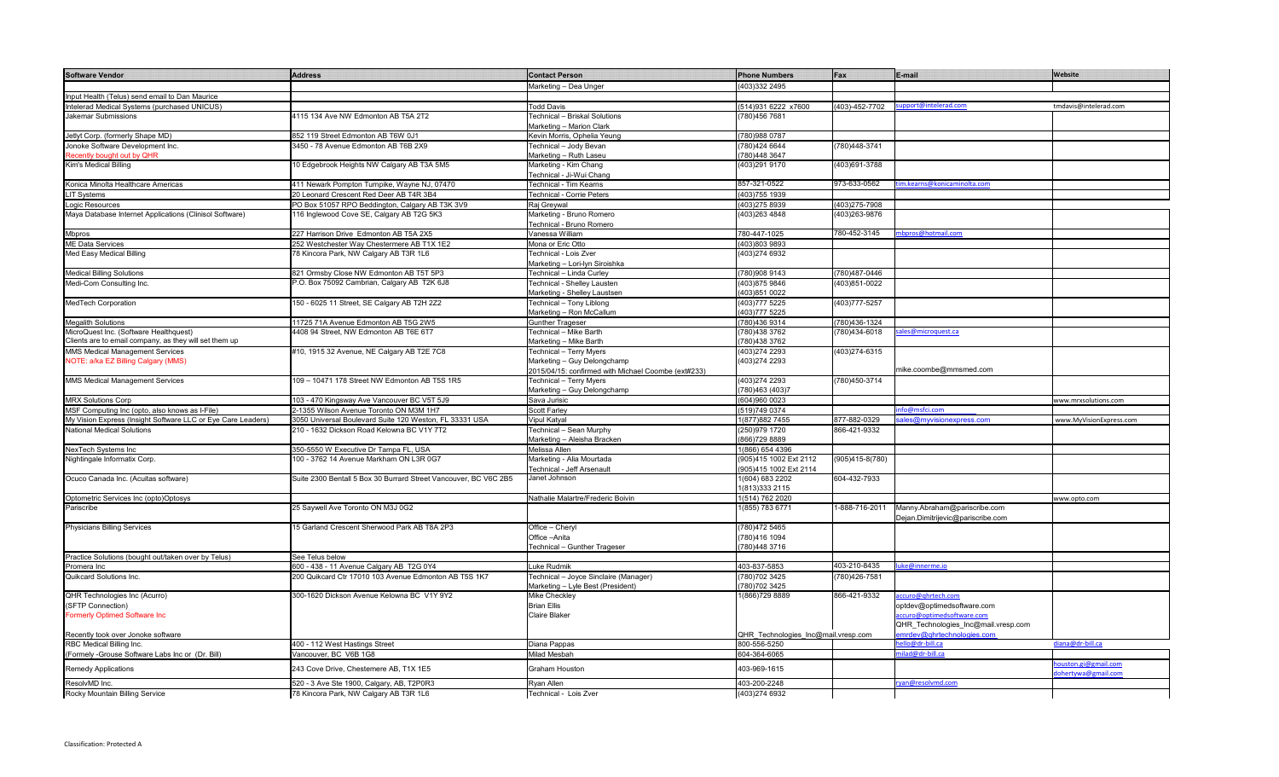| <b>Software Vendor</b>                                                                                                                                                                                                                                                                                                                                                                | <b>Address</b>                                                   | <b>Contact Person</b>                                     | <b>Phone Numbers</b>                | <b>IFax</b>       | E-mail                              | <b>Website</b>          |
|---------------------------------------------------------------------------------------------------------------------------------------------------------------------------------------------------------------------------------------------------------------------------------------------------------------------------------------------------------------------------------------|------------------------------------------------------------------|-----------------------------------------------------------|-------------------------------------|-------------------|-------------------------------------|-------------------------|
|                                                                                                                                                                                                                                                                                                                                                                                       |                                                                  | Marketing - Dea Unger                                     | (403)332 2495                       |                   |                                     |                         |
| Input Health (Telus) send email to Dan Maurice                                                                                                                                                                                                                                                                                                                                        |                                                                  |                                                           |                                     |                   |                                     |                         |
| Intelerad Medical Systems (purchased UNICUS)                                                                                                                                                                                                                                                                                                                                          |                                                                  | <b>Todd Davis</b>                                         | (514) 931 6222 x7600                | (403)-452-7702    | pport@intelerad.com                 | tmdavis@intelerad.com   |
| <b>Jakemar Submissions</b>                                                                                                                                                                                                                                                                                                                                                            | 4115 134 Ave NW Edmonton AB T5A 2T2                              | Technical – Briskal Solutions<br>Marketing - Marion Clark | (780) 456 7681                      |                   |                                     |                         |
| Jetlyt Corp. (formerly Shape MD)                                                                                                                                                                                                                                                                                                                                                      | 852 119 Street Edmonton AB T6W 0J1                               | Kevin Morris, Ophelia Yeung                               | (780)988 0787                       |                   |                                     |                         |
| Jonoke Software Development Inc.                                                                                                                                                                                                                                                                                                                                                      | 3450 - 78 Avenue Edmonton AB T6B 2X9                             | Technical - Jody Bevan                                    | (780)424 6644                       | (780)448-3741     |                                     |                         |
| Recently bought out by QHR                                                                                                                                                                                                                                                                                                                                                            |                                                                  | Marketing - Ruth Laseu                                    | (780) 448 3647                      |                   |                                     |                         |
| Kim's Medical Billing                                                                                                                                                                                                                                                                                                                                                                 | 0 Edgebrook Heights NW Calgary AB T3A 5M5                        | Marketing - Kim Chang                                     | (403)291 9170                       | (403)691-3788     |                                     |                         |
|                                                                                                                                                                                                                                                                                                                                                                                       |                                                                  | Technical - Ji-Wui Chang                                  |                                     |                   |                                     |                         |
| Konica Minolta Healthcare Americas                                                                                                                                                                                                                                                                                                                                                    | 411 Newark Pompton Turnpike, Wayne NJ, 07470                     | <b>Technical - Tim Kearns</b>                             | 857-321-0522                        | 973-633-0562      | im.kearns@konicaminolta.com         |                         |
| <b>LIT Systems</b>                                                                                                                                                                                                                                                                                                                                                                    | 20 Leonard Crescent Red Deer AB T4R 3B4                          | <b>Technical - Corrie Peters</b>                          | (403) 755 1939                      |                   |                                     |                         |
| Logic Resources                                                                                                                                                                                                                                                                                                                                                                       | PO Box 51057 RPO Beddington, Calgary AB T3K 3V9                  | Raj Greywal                                               | (403) 275 8939                      | (403) 275-7908    |                                     |                         |
| Maya Database Internet Applications (Clinisol Software)                                                                                                                                                                                                                                                                                                                               | 116 Inglewood Cove SE, Calgary AB T2G 5K3                        | Marketing - Bruno Romero                                  | (403) 263 4848                      | (403)263-9876     |                                     |                         |
|                                                                                                                                                                                                                                                                                                                                                                                       |                                                                  | Technical - Bruno Romero                                  |                                     |                   |                                     |                         |
| <b>Mbpros</b>                                                                                                                                                                                                                                                                                                                                                                         | 227 Harrison Drive Edmonton AB T5A 2X5                           | Vanessa William                                           | 780-447-1025                        | 780-452-3145      | nbpros@hotmail.com                  |                         |
| <b>ME Data Services</b>                                                                                                                                                                                                                                                                                                                                                               | 252 Westchester Way Chestermere AB T1X 1E2                       | Mona or Eric Otto                                         | (403)803 9893                       |                   |                                     |                         |
| <b>Med Easy Medical Billing</b>                                                                                                                                                                                                                                                                                                                                                       | 78 Kincora Park, NW Calgary AB T3R 1L6                           | Technical - Lois Zver                                     | (403) 274 6932                      |                   |                                     |                         |
|                                                                                                                                                                                                                                                                                                                                                                                       |                                                                  | Marketing - Lori-lyn Siroishka                            |                                     |                   |                                     |                         |
| <b>Medical Billing Solutions</b>                                                                                                                                                                                                                                                                                                                                                      | 821 Ormsby Close NW Edmonton AB T5T 5P3                          | Technical - Linda Curley                                  | (780)908 9143                       | (780)487-0446     |                                     |                         |
| Medi-Com Consulting Inc.                                                                                                                                                                                                                                                                                                                                                              | P.O. Box 75092 Cambrian, Calgary AB T2K 6J8                      | Technical - Shelley Lausten                               | (403)875 9846                       | (403)851-0022     |                                     |                         |
|                                                                                                                                                                                                                                                                                                                                                                                       |                                                                  | Marketing - Shelley Laustsen                              | (403)851 0022                       |                   |                                     |                         |
| <b>MedTech Corporation</b>                                                                                                                                                                                                                                                                                                                                                            | 150 - 6025 11 Street, SE Calgary AB T2H 2Z2                      | Technical - Tony Liblong                                  | 403)777 5225                        | (403) 777-5257    |                                     |                         |
|                                                                                                                                                                                                                                                                                                                                                                                       |                                                                  | Marketing - Ron McCallum                                  | (403)777 5225                       |                   |                                     |                         |
| <b>Megalith Solutions</b>                                                                                                                                                                                                                                                                                                                                                             | 11725 71A Avenue Edmonton AB T5G 2W5                             | <b>Gunther Trageser</b>                                   | (780) 436 9314                      | (780)436-1324     |                                     |                         |
| MicroQuest Inc. (Software Healthquest)                                                                                                                                                                                                                                                                                                                                                | 4408 94 Street, NW Edmonton AB T6E 6T7                           | Technical – Mike Barth                                    | (780)438 3762                       | (780)434-6018     | ales@microquest.ca                  |                         |
| Clients are to email company, as they will set them up                                                                                                                                                                                                                                                                                                                                |                                                                  | Marketing - Mike Barth                                    | (780)438 3762                       |                   |                                     |                         |
| <b>MMS Medical Management Services</b>                                                                                                                                                                                                                                                                                                                                                | #10, 1915 32 Avenue, NE Calgary AB T2E 7C8                       | Technical - Terry Myers                                   | (403) 274 2293                      | (403) 274-6315    |                                     |                         |
| NOTE: a/ka EZ Billing Calgary (MMS)                                                                                                                                                                                                                                                                                                                                                   |                                                                  | Marketing - Guy Delongchamp                               | (403) 274 2293                      |                   |                                     |                         |
|                                                                                                                                                                                                                                                                                                                                                                                       |                                                                  | 2015/04/15: confirmed with Michael Coombe (ext#233)       |                                     |                   | mike.coombe@mmsmed.com              |                         |
| <b>MMS Medical Management Services</b>                                                                                                                                                                                                                                                                                                                                                | 109 - 10471 178 Street NW Edmonton AB T5S 1R5                    | <b>Technical - Terry Myers</b>                            | (403)274 2293                       | (780)450-3714     |                                     |                         |
|                                                                                                                                                                                                                                                                                                                                                                                       |                                                                  | Marketing - Guy Delongchamp                               | (780)463 (403)7                     |                   |                                     |                         |
| <b>MRX Solutions Corp</b>                                                                                                                                                                                                                                                                                                                                                             | 103 - 470 Kingsway Ave Vancouver BC V5T 5J9                      | Sava Jurisic                                              | (604)960 0023                       |                   |                                     | www.mrxsolutions.com    |
| MSF Computing Inc (opto, also knows as I-File)                                                                                                                                                                                                                                                                                                                                        | 2-1355 Wilson Avenue Toronto ON M3M 1H7                          | <b>Scott Farley</b>                                       | (519)749 0374                       |                   | nfo@msfci.com                       |                         |
| My Vision Express (Insight Software LLC or Eye Care Leaders)                                                                                                                                                                                                                                                                                                                          | 3050 Universal Boulevard Suite 120 Weston, FL 33331 USA          | Vipul Katyal                                              | 1(877) 882 7455                     | 877-882-0329      | sales@myvisionexpress.com           | www.MyVisionExpress.com |
| <b>National Medical Solutions</b>                                                                                                                                                                                                                                                                                                                                                     | 210 - 1632 Dickson Road Kelowna BC V1Y 7T2                       | Technical – Sean Murphy                                   | (250)979 1720                       | 866-421-9332      |                                     |                         |
|                                                                                                                                                                                                                                                                                                                                                                                       |                                                                  | Marketing - Aleisha Bracken                               | (866) 729 8889                      |                   |                                     |                         |
| <b>NexTech Systems Inc</b>                                                                                                                                                                                                                                                                                                                                                            | 350-5550 W Executive Dr Tampa FL, USA                            | Melissa Allen                                             | 1(866) 654 4396                     |                   |                                     |                         |
|                                                                                                                                                                                                                                                                                                                                                                                       |                                                                  |                                                           |                                     |                   |                                     |                         |
| Nightingale Informatix Corp.                                                                                                                                                                                                                                                                                                                                                          | 100 - 3762 14 Avenue Markham ON L3R 0G7                          | Marketing - Alia Mourtada                                 | (905)415 1002 Ext 2112              | $(905)415-8(780)$ |                                     |                         |
|                                                                                                                                                                                                                                                                                                                                                                                       |                                                                  | <b>Technical - Jeff Arsenault</b><br>Janet Johnson        | (905)415 1002 Ext 2114              | 604-432-7933      |                                     |                         |
| Ocuco Canada Inc. (Acuitas software)                                                                                                                                                                                                                                                                                                                                                  | Suite 2300 Bentall 5 Box 30 Burrard Street Vancouver, BC V6C 2B5 |                                                           | (604) 683 2202                      |                   |                                     |                         |
|                                                                                                                                                                                                                                                                                                                                                                                       |                                                                  | Nathalie Malartre/Frederic Boivir                         | 1(813)333 2115                      |                   |                                     |                         |
| Optometric Services Inc (opto)Optosys                                                                                                                                                                                                                                                                                                                                                 |                                                                  |                                                           | 1(514) 762 2020                     | 1-888-716-2011    |                                     | www.opto.com            |
| Pariscribe                                                                                                                                                                                                                                                                                                                                                                            | 25 Saywell Ave Toronto ON M3J 0G2                                |                                                           | 1(855) 783 6771                     |                   | Manny.Abraham@pariscribe.com        |                         |
|                                                                                                                                                                                                                                                                                                                                                                                       |                                                                  |                                                           |                                     |                   | Dejan.Dimitrijevic@pariscribe.com   |                         |
| <b>Physicians Billing Services</b>                                                                                                                                                                                                                                                                                                                                                    | 15 Garland Crescent Sherwood Park AB T8A 2P3                     | Office - Cheryl                                           | (780)472 5465                       |                   |                                     |                         |
|                                                                                                                                                                                                                                                                                                                                                                                       |                                                                  |                                                           |                                     |                   |                                     |                         |
|                                                                                                                                                                                                                                                                                                                                                                                       |                                                                  | Office - Anita                                            | (780)416 1094                       |                   |                                     |                         |
|                                                                                                                                                                                                                                                                                                                                                                                       |                                                                  | Technical - Gunther Trageser                              | (780)448 3716                       |                   |                                     |                         |
|                                                                                                                                                                                                                                                                                                                                                                                       | See Telus below                                                  |                                                           |                                     |                   |                                     |                         |
|                                                                                                                                                                                                                                                                                                                                                                                       | 600 - 438 - 11 Avenue Calgary AB T2G 0Y4                         | uke Rudmik                                                | 403-837-5853                        | 403-210-8435      | <u>uke@innerme.io</u>               |                         |
|                                                                                                                                                                                                                                                                                                                                                                                       | 200 Quikcard Ctr 17010 103 Avenue Edmonton AB T5S 1K7            | Technical - Joyce Sinclaire (Manager)                     | (780)702 3425                       | (780) 426-7581    |                                     |                         |
|                                                                                                                                                                                                                                                                                                                                                                                       |                                                                  | Marketing - Lyle Best (President)                         | (780)702 3425                       |                   |                                     |                         |
|                                                                                                                                                                                                                                                                                                                                                                                       | 300-1620 Dickson Avenue Kelowna BC V1Y 9Y2                       | <b>Mike Checkley</b>                                      | 1(866)729 8889                      | 866-421-9332      | accuro@ghrtech.com                  |                         |
|                                                                                                                                                                                                                                                                                                                                                                                       |                                                                  | <b>Brian Ellis</b>                                        |                                     |                   | optdev@optimedsoftware.com          |                         |
|                                                                                                                                                                                                                                                                                                                                                                                       |                                                                  | <b>Claire Blaker</b>                                      |                                     |                   | accuro@optimedsoftware.com          |                         |
|                                                                                                                                                                                                                                                                                                                                                                                       |                                                                  |                                                           |                                     |                   | QHR_Technologies_Inc@mail.vresp.com |                         |
|                                                                                                                                                                                                                                                                                                                                                                                       |                                                                  |                                                           | QHR Technologies Inc@mail.vresp.com |                   | emrdev@ghrtechnologies.com          |                         |
|                                                                                                                                                                                                                                                                                                                                                                                       | 400 - 112 West Hastings Street                                   | Diana Pappas                                              | 800-556-5250                        |                   | ello@dr-bill.ca                     | diana@dr-bill.ca        |
|                                                                                                                                                                                                                                                                                                                                                                                       | Vancouver, BC V6B 1G8                                            | <b>Milad Mesbah</b>                                       | 604-364-6065                        |                   | hilad@dr-bill.ca                    |                         |
|                                                                                                                                                                                                                                                                                                                                                                                       | 243 Cove Drive, Chestemere AB, T1X 1E5                           | <b>Graham Houston</b>                                     | 403-969-1615                        |                   |                                     | houston.gi@gmail.com    |
| Practice Solutions (bought out/taken over by Telus)<br>Promera Inc<br><b>Quikcard Solutions Inc.</b><br><b>QHR Technologies Inc (Acurro)</b><br>(SFTP Connection)<br><b>Formerly Optimed Software Inc</b><br>Recently took over Jonoke software<br><b>RBC Medical Billing Inc.</b><br>(Formely -Grouse Software Labs Inc or (Dr. Bill)<br><b>Remedy Applications</b><br>ResolvMD Inc. | 520 - 3 Ave Ste 1900, Calgary, AB, T2P0R3                        | Ryan Allen                                                | 403-200-2248                        |                   | yan@resolvmd.com                    | dohertywa@gmail.com     |